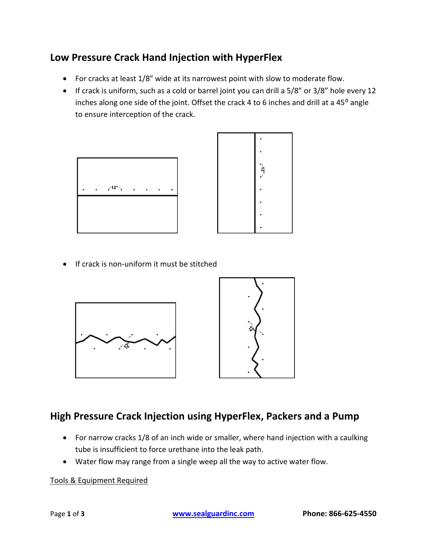## **Low Pressure Crack Hand Injection with HyperFlex**

- For cracks at least 1/8" wide at its narrowest point with slow to moderate flow.
- If crack is uniform, such as a cold or barrel joint you can drill a 5/8" or 3/8" hole every 12 inches along one side of the joint. Offset the crack 4 to 6 inches and drill at a 45<sup>o</sup> angle to ensure interception of the crack.



If crack is non-uniform it must be stitched



## **High Pressure Crack Injection using HyperFlex, Packers and a Pump**

- For narrow cracks 1/8 of an inch wide or smaller, where hand injection with a caulking tube is insufficient to force urethane into the leak path.
- Water flow may range from a single weep all the way to active water flow.

## Tools & Equipment Required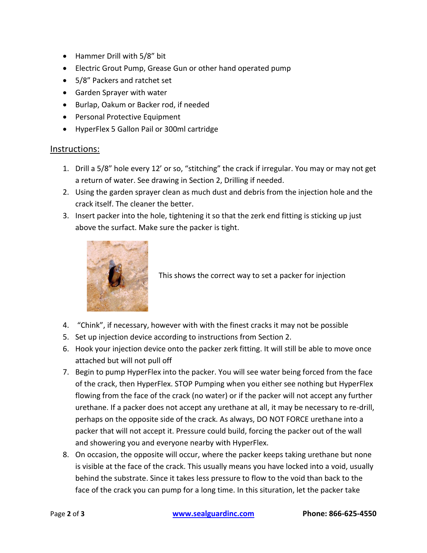- Hammer Drill with 5/8" bit
- Electric Grout Pump, Grease Gun or other hand operated pump
- 5/8" Packers and ratchet set
- Garden Sprayer with water
- Burlap, Oakum or Backer rod, if needed
- Personal Protective Equipment
- HyperFlex 5 Gallon Pail or 300ml cartridge

## Instructions:

- 1. Drill a 5/8" hole every 12' or so, "stitching" the crack if irregular. You may or may not get a return of water. See drawing in Section 2, Drilling if needed.
- 2. Using the garden sprayer clean as much dust and debris from the injection hole and the crack itself. The cleaner the better.
- 3. Insert packer into the hole, tightening it so that the zerk end fitting is sticking up just above the surfact. Make sure the packer is tight.



This shows the correct way to set a packer for injection

- 4. "Chink", if necessary, however with with the finest cracks it may not be possible
- 5. Set up injection device according to instructions from Section 2.
- 6. Hook your injection device onto the packer zerk fitting. It will still be able to move once attached but will not pull off
- 7. Begin to pump HyperFlex into the packer. You will see water being forced from the face of the crack, then HyperFlex. STOP Pumping when you either see nothing but HyperFlex flowing from the face of the crack (no water) or if the packer will not accept any further urethane. If a packer does not accept any urethane at all, it may be necessary to re-drill, perhaps on the opposite side of the crack. As always, DO NOT FORCE urethane into a packer that will not accept it. Pressure could build, forcing the packer out of the wall and showering you and everyone nearby with HyperFlex.
- 8. On occasion, the opposite will occur, where the packer keeps taking urethane but none is visible at the face of the crack. This usually means you have locked into a void, usually behind the substrate. Since it takes less pressure to flow to the void than back to the face of the crack you can pump for a long time. In this situration, let the packer take